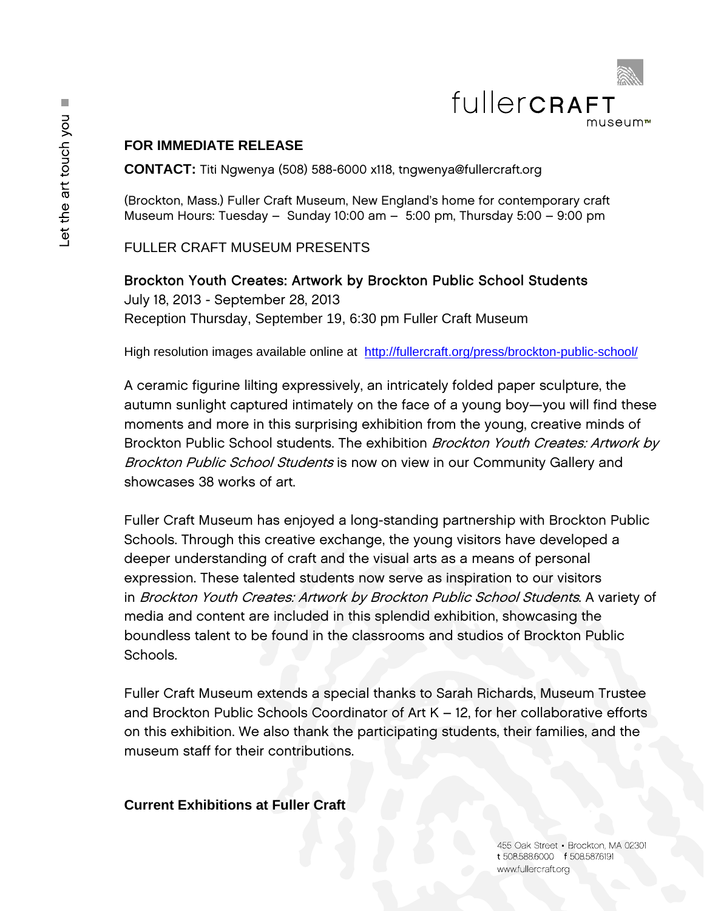

# **FOR IMMEDIATE RELEASE**

**CONTACT:** Titi Ngwenya (508) 588-6000 x118, tngwenya@fullercraft.org

(Brockton, Mass.) Fuller Craft Museum, New England's home for contemporary craft Museum Hours: Tuesday – Sunday 10:00 am – 5:00 pm, Thursday 5:00 – 9:00 pm

FULLER CRAFT MUSEUM PRESENTS

### Brockton Youth Creates: Artwork by Brockton Public School Students

July 18, 2013 - September 28, 2013 Reception Thursday, September 19, 6:30 pm Fuller Craft Museum

High resolution images available online at http://fullercraft.org/press/brockton-public-school/

A ceramic figurine lilting expressively, an intricately folded paper sculpture, the autumn sunlight captured intimately on the face of a young boy—you will find these moments and more in this surprising exhibition from the young, creative minds of Brockton Public School students. The exhibition Brockton Youth Creates: Artwork by Brockton Public School Students is now on view in our Community Gallery and showcases 38 works of art.

Fuller Craft Museum has enjoyed a long-standing partnership with Brockton Public Schools. Through this creative exchange, the young visitors have developed a deeper understanding of craft and the visual arts as a means of personal expression. These talented students now serve as inspiration to our visitors in Brockton Youth Creates: Artwork by Brockton Public School Students. A variety of media and content are included in this splendid exhibition, showcasing the boundless talent to be found in the classrooms and studios of Brockton Public Schools.

Fuller Craft Museum extends a special thanks to Sarah Richards, Museum Trustee and Brockton Public Schools Coordinator of Art K – 12, for her collaborative efforts on this exhibition. We also thank the participating students, their families, and the museum staff for their contributions.

## **Current Exhibitions at Fuller Craft**

455 Oak Street Brockton, MA 02301 t 508.588.6000 f 508.5876191 www.fullercraft.org